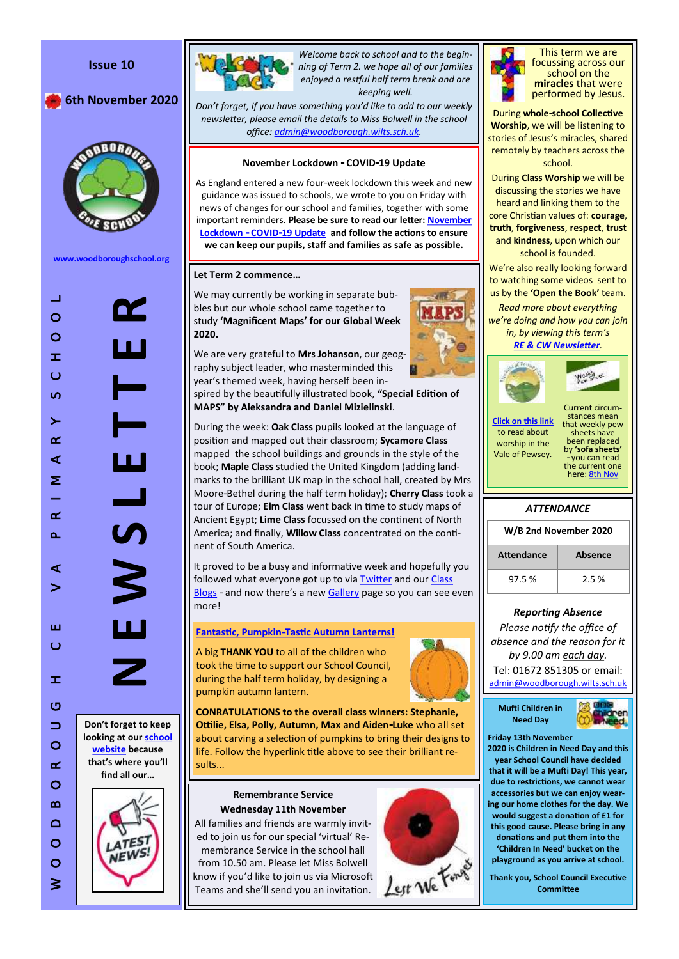#### **Issue 10**

6th November 2020



**[www.woodboroughschool.org](https://woodboroughschool.org/)**





*Welcome back to school and to the beginning of Term 2. we hope all of our families enjoyed a restful half term break and are keeping well.*

*Don 't forget, if you have something you 'd like to add to our weekly newsletter, please email the details to Miss Bolwell in the school office: [admin@woodborough.wilts.sch.uk.](mailto:admin@woodborough.wilts.sch.uk)* 

#### **November Lockdown - COVID -19 Update**

As England entered a new four -week lockdown this week and new guidance was issued to schools, we wrote to you on Friday with news of changes for our school and families, together with some important reminders. **Please be sure to read our letter: [November](https://woodboroughschool.org/wp-content/uploads/2020/11/Letter-to-Parents-Carers-re.-November-Lockdown-COVID-19-Update-06.11.20.pdf)  Lockdown - COVID-19 Update** and follow the actions to ensure **we can keep our pupils, staff and families as safe as possible.**

#### **Let Term 2 commence …**

We may currently be working in separate bubbles but our whole school came together to study **'Magnificent Maps' for our Global Week 2020.**

We are very grateful to **Mrs Johanson**, our geography subject leader, who masterminded this year 's themed week, having herself been in-

spired by the beautifully illustrated book, **"Special Edition of MAPS" by Aleksandra and Daniel Mizielinski**.

During the week: **Oak Class** pupils looked at the language of position and mapped out their classroom; **Sycamore Class**  mapped the school buildings and grounds in the style of the book; **Maple Class** studied the United Kingdom (adding landmarks to the brilliant UK map in the school hall, created by Mrs Moore -Bethel during the half term holiday); **Cherry Class** took a tour of Europe; **Elm Class** went back in time to study maps of Ancient Egypt; **Lime Class** focussed on the continent of North America; and finally, **Willow Class** concentrated on the continent of South America.

It proved to be a busy and informative week and hopefully you followed what everyone got up to via **[Twitter](https://twitter.com/w_woodborough)** and our **Class** [Blogs](https://woodboroughschool.org/classes-curriculum/class-blogs/) - and now there's a new [Gallery](https://woodboroughschool.org/gallery/global-week-november-2020/) page so you can see even more!

#### **Fantastic, Pumpkin [-Tastic Autumn Lanterns!](https://woodboroughschool.org/gallery/pumpkin-tastic-autumn-lanterns-november-2020/)**

A big **THANK YOU** to all of the children who took the time to support our School Council, during the half term holiday, by designing a pumpkin autumn lantern.



**CONRATULATIONS to the overall class winners: Stephanie, Ottilie, Elsa, Polly, Autumn, Max and Aiden -Luke** who all set about carving a selection of pumpkins to bring their designs to life. Follow the hyperlink title above to see their brilliant results...

#### **Remembrance Service Wednesday 11th November**

All families and friends are warmly invited to join us for our special 'virtual' Remembrance Service in the school hall from 10.50 am. Please let Miss Bolwell know if you 'd like to join us via Microsoft Teams and she 'll send you an invitation.



This term we are focussing across our school on the **miracles** that were performed by Jesus.

During **whole -school Collective Worship**, we will be listening to stories of Jesus 's miracles, shared remotely by teachers across the school.

During **Class Worship** we will be discussing the stories we have heard and linking them to the core Christian values of: **courage**, **truth**, **forgiveness**, **respect**, **trust** and **kindness**, upon which our school is founded.

We 're also really looking forward to watching some videos sent to us by the **'Open the Book'** team.

*Read more about everything we 're doing and how you can join in, by viewing this term 's [RE & CW Newsletter](https://woodboroughschool.org/wp-content/uploads/2020/09/RE-NEWSLETTER-Autumn-1-2020-Parables.pdf) .*



**Mongles** 

**[Click on this link](https://www.valeofpewsey.org/)** to read about worship in the Vale of Pewsey.

Current circumstances mean that weekly pew sheets have been replaced by **'sofa sheets'**  - you can read the current one here: [8th Nov](https://woodboroughschool.org/wp-content/uploads/2020/11/8th-November.pdf)

# *ATTENDANCE*

| W/B 2nd November 2020 |                |  |  |
|-----------------------|----------------|--|--|
| <b>Attendance</b>     | <b>Absence</b> |  |  |
| 97.5%                 | 2.5%           |  |  |

### *Reporting Absence*

*Please notify the office of absence and the reason for it by 9.00 am each day.*  Tel: 01672 851305 or email: [admin@woodborough.wilts.sch.uk](mailto:admin@woodborough.wilts.sch.uk)





**2020 is Children in Need Day and this year School Council have decided that it will be a Mufti Day! This year, due to restrictions, we cannot wear accessories but we can enjoy wear-**

**ing our home clothes for the day. We would suggest a donation of £1 for this good cause. Please bring in any donations and put them into the 'Children In Need' bucket on the playground as you arrive at school.**

**Thank you, School Council Executive Committee**

# **Friday 13th November**